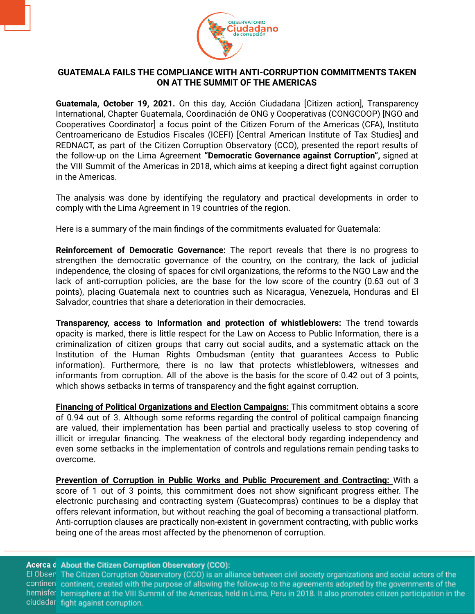

## **GUATEMALA FAILS THE COMPLIANCE WITH ANTI-CORRUPTION COMMITMENTS TAKEN ON AT THE SUMMIT OF THE AMERICAS**

**Guatemala, October 19, 2021.** On this day, Acción Ciudadana [Citizen action], Transparency International, Chapter Guatemala, Coordinación de ONG y Cooperativas (CONGCOOP) [NGO and Cooperatives Coordinator] a focus point of the Citizen Forum of the Americas (CFA), Instituto Centroamericano de Estudios Fiscales (ICEFI) [Central American Institute of Tax Studies] and REDNACT, as part of the Citizen Corruption Observatory (CCO), presented the report results of the follow-up on the Lima Agreement **"Democratic Governance against Corruption",** signed at the VIII Summit of the Americas in 2018, which aims at keeping a direct fight against corruption in the Americas.

The analysis was done by identifying the regulatory and practical developments in order to comply with the Lima Agreement in 19 countries of the region.

Here is a summary of the main findings of the commitments evaluated for Guatemala:

**Reinforcement of Democratic Governance:** The report reveals that there is no progress to strengthen the democratic governance of the country, on the contrary, the lack of judicial independence, the closing of spaces for civil organizations, the reforms to the NGO Law and the lack of anti-corruption policies, are the base for the low score of the country (0.63 out of 3 points), placing Guatemala next to countries such as Nicaragua, Venezuela, Honduras and El Salvador, countries that share a deterioration in their democracies.

**Transparency, access to Information and protection of whistleblowers:** The trend towards opacity is marked, there is little respect for the Law on Access to Public Information, there is a criminalization of citizen groups that carry out social audits, and a systematic attack on the Institution of the Human Rights Ombudsman (entity that guarantees Access to Public information). Furthermore, there is no law that protects whistleblowers, witnesses and informants from corruption. All of the above is the basis for the score of 0.42 out of 3 points, which shows setbacks in terms of transparency and the fight against corruption.

**Financing of Political Organizations and Election Campaigns:** This commitment obtains a score of 0.94 out of 3. Although some reforms regarding the control of political campaign financing are valued, their implementation has been partial and practically useless to stop covering of illicit or irregular financing. The weakness of the electoral body regarding independency and even some setbacks in the implementation of controls and regulations remain pending tasks to overcome.

**Prevention of Corruption in Public Works and Public Procurement and Contracting:** With a score of 1 out of 3 points, this commitment does not show significant progress either. The electronic purchasing and contracting system (Guatecompras) continues to be a display that offers relevant information, but without reaching the goal of becoming a transactional platform. Anti-corruption clauses are practically non-existent in government contracting, with public works being one of the areas most affected by the phenomenon of corruption.

## Acerca d About the Citizen Corruption Observatory (CCO):

El Obser The Citizen Corruption Observatory (CCO) is an alliance between civil society organizations and social actors of the continen continent, created with the purpose of allowing the follow-up to the agreements adopted by the governments of the hemisfer hemisphere at the VIII Summit of the Americas, held in Lima, Peru in 2018. It also promotes citizen participation in the ciudadar fight against corruption.